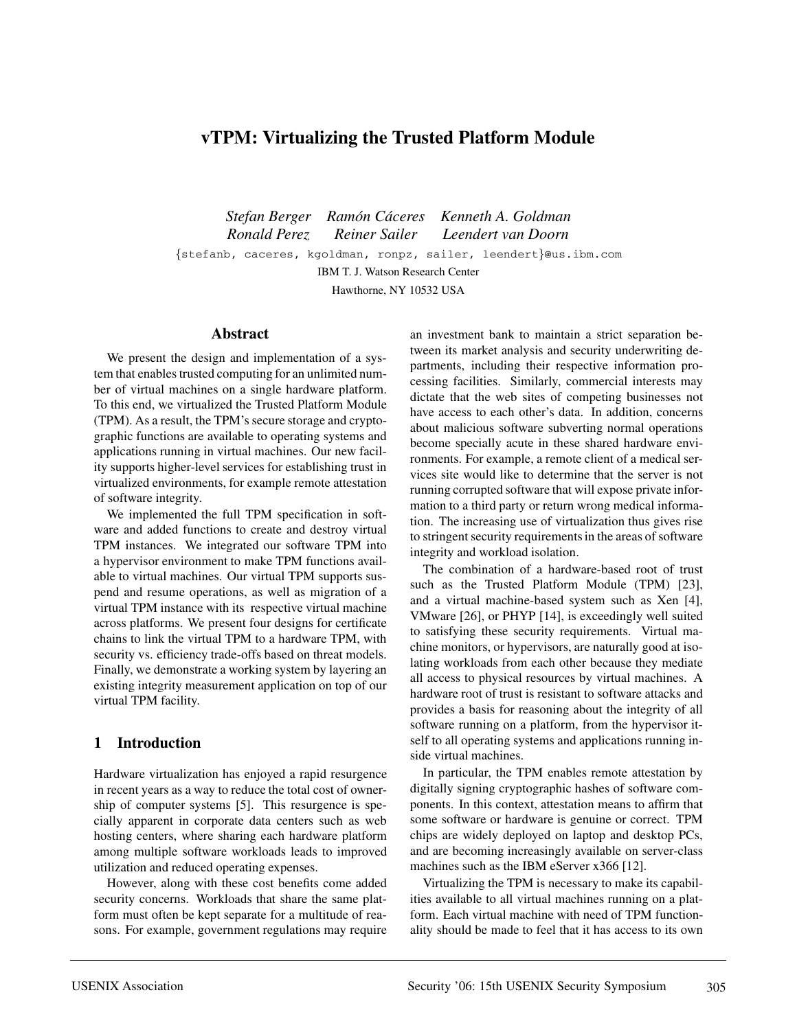# **vTPM: Virtualizing the Trusted Platform Module**

*Stefan Berger Ramon C ´ aceres Kenneth A. Goldman ´ Ronald Perez Reiner Sailer Leendert van Doorn* {stefanb, caceres, kgoldman, ronpz, sailer, leendert}@us.ibm.com IBM T. J. Watson Research Center Hawthorne, NY 10532 USA

#### **Abstract**

We present the design and implementation of a system that enables trusted computing for an unlimited number of virtual machines on a single hardware platform. To this end, we virtualized the Trusted Platform Module (TPM). As a result, the TPM's secure storage and cryptographic functions are available to operating systems and applications running in virtual machines. Our new facility supports higher-level services for establishing trust in virtualized environments, for example remote attestation of software integrity.

We implemented the full TPM specification in software and added functions to create and destroy virtual TPM instances. We integrated our software TPM into a hypervisor environment to make TPM functions available to virtual machines. Our virtual TPM supports suspend and resume operations, as well as migration of a virtual TPM instance with its respective virtual machine across platforms. We present four designs for certificate chains to link the virtual TPM to a hardware TPM, with security vs. efficiency trade-offs based on threat models. Finally, we demonstrate a working system by layering an existing integrity measurement application on top of our virtual TPM facility.

#### **1 Introduction**

Hardware virtualization has enjoyed a rapid resurgence in recent years as a way to reduce the total cost of ownership of computer systems [5]. This resurgence is specially apparent in corporate data centers such as web hosting centers, where sharing each hardware platform among multiple software workloads leads to improved utilization and reduced operating expenses.

However, along with these cost benefits come added security concerns. Workloads that share the same platform must often be kept separate for a multitude of reasons. For example, government regulations may require

an investment bank to maintain a strict separation between its market analysis and security underwriting departments, including their respective information processing facilities. Similarly, commercial interests may dictate that the web sites of competing businesses not have access to each other's data. In addition, concerns about malicious software subverting normal operations become specially acute in these shared hardware environments. For example, a remote client of a medical services site would like to determine that the server is not running corrupted software that will expose private information to a third party or return wrong medical information. The increasing use of virtualization thus gives rise to stringent security requirements in the areas of software integrity and workload isolation.

The combination of a hardware-based root of trust such as the Trusted Platform Module (TPM) [23], and a virtual machine-based system such as Xen [4], VMware [26], or PHYP [14], is exceedingly well suited to satisfying these security requirements. Virtual machine monitors, or hypervisors, are naturally good at isolating workloads from each other because they mediate all access to physical resources by virtual machines. A hardware root of trust is resistant to software attacks and provides a basis for reasoning about the integrity of all software running on a platform, from the hypervisor itself to all operating systems and applications running inside virtual machines.

In particular, the TPM enables remote attestation by digitally signing cryptographic hashes of software components. In this context, attestation means to affirm that some software or hardware is genuine or correct. TPM chips are widely deployed on laptop and desktop PCs, and are becoming increasingly available on server-class machines such as the IBM eServer x366 [12].

Virtualizing the TPM is necessary to make its capabilities available to all virtual machines running on a platform. Each virtual machine with need of TPM functionality should be made to feel that it has access to its own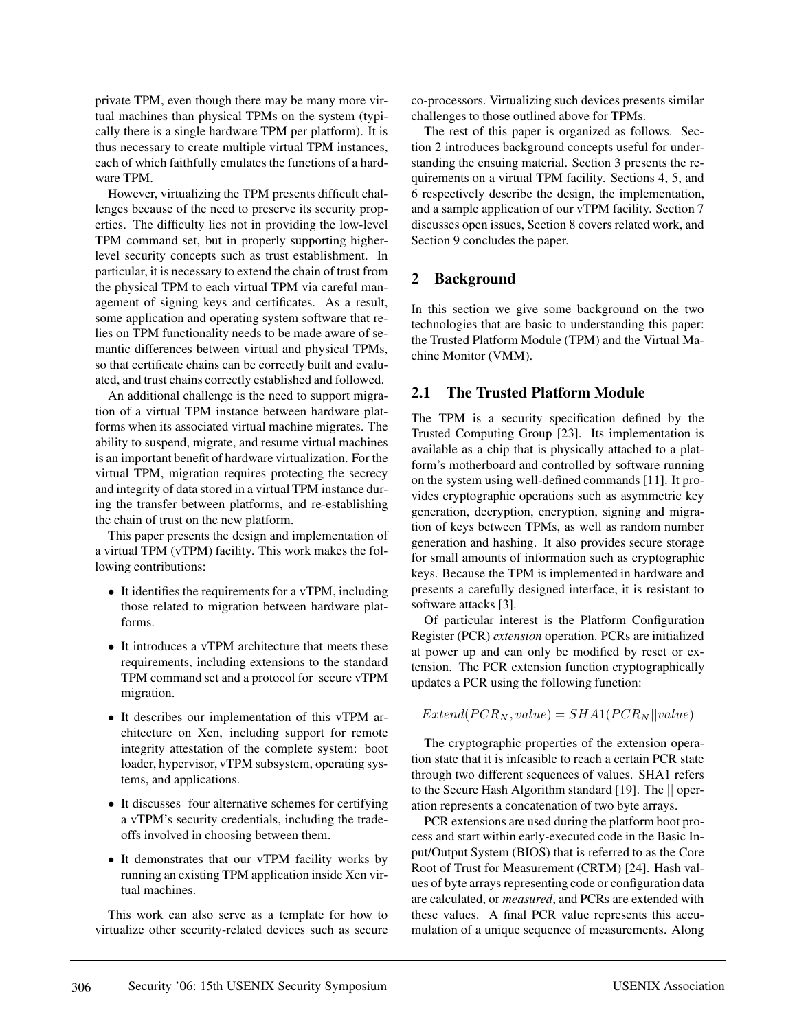private TPM, even though there may be many more virtual machines than physical TPMs on the system (typically there is a single hardware TPM per platform). It is thus necessary to create multiple virtual TPM instances, each of which faithfully emulates the functions of a hardware TPM.

However, virtualizing the TPM presents difficult challenges because of the need to preserve its security properties. The difficulty lies not in providing the low-level TPM command set, but in properly supporting higherlevel security concepts such as trust establishment. In particular, it is necessary to extend the chain of trust from the physical TPM to each virtual TPM via careful management of signing keys and certificates. As a result, some application and operating system software that relies on TPM functionality needs to be made aware of semantic differences between virtual and physical TPMs, so that certificate chains can be correctly built and evaluated, and trust chains correctly established and followed.

An additional challenge is the need to support migration of a virtual TPM instance between hardware platforms when its associated virtual machine migrates. The ability to suspend, migrate, and resume virtual machines is an important benefit of hardware virtualization. For the virtual TPM, migration requires protecting the secrecy and integrity of data stored in a virtual TPM instance during the transfer between platforms, and re-establishing the chain of trust on the new platform.

This paper presents the design and implementation of a virtual TPM (vTPM) facility. This work makes the following contributions:

- It identifies the requirements for a vTPM, including those related to migration between hardware platforms.
- It introduces a vTPM architecture that meets these requirements, including extensions to the standard TPM command set and a protocol for secure vTPM migration.
- It describes our implementation of this vTPM architecture on Xen, including support for remote integrity attestation of the complete system: boot loader, hypervisor, vTPM subsystem, operating systems, and applications.
- It discusses four alternative schemes for certifying a vTPM's security credentials, including the tradeoffs involved in choosing between them.
- It demonstrates that our vTPM facility works by running an existing TPM application inside Xen virtual machines.

This work can also serve as a template for how to virtualize other security-related devices such as secure

co-processors. Virtualizing such devices presents similar challenges to those outlined above for TPMs.

The rest of this paper is organized as follows. Section 2 introduces background concepts useful for understanding the ensuing material. Section 3 presents the requirements on a virtual TPM facility. Sections 4, 5, and 6 respectively describe the design, the implementation, and a sample application of our vTPM facility. Section 7 discusses open issues, Section 8 covers related work, and Section 9 concludes the paper.

## **2 Background**

In this section we give some background on the two technologies that are basic to understanding this paper: the Trusted Platform Module (TPM) and the Virtual Machine Monitor (VMM).

## **2.1 The Trusted Platform Module**

The TPM is a security specification defined by the Trusted Computing Group [23]. Its implementation is available as a chip that is physically attached to a platform's motherboard and controlled by software running on the system using well-defined commands [11]. It provides cryptographic operations such as asymmetric key generation, decryption, encryption, signing and migration of keys between TPMs, as well as random number generation and hashing. It also provides secure storage for small amounts of information such as cryptographic keys. Because the TPM is implemented in hardware and presents a carefully designed interface, it is resistant to software attacks [3].

Of particular interest is the Platform Configuration Register (PCR) *extension* operation. PCRs are initialized at power up and can only be modified by reset or extension. The PCR extension function cryptographically updates a PCR using the following function:

 $Extend(PCR_N, value) = SHA1(PCR_N || value)$ 

The cryptographic properties of the extension operation state that it is infeasible to reach a certain PCR state through two different sequences of values. SHA1 refers to the Secure Hash Algorithm standard [19]. The || operation represents a concatenation of two byte arrays.

PCR extensions are used during the platform boot process and start within early-executed code in the Basic Input/Output System (BIOS) that is referred to as the Core Root of Trust for Measurement (CRTM) [24]. Hash values of byte arrays representing code or configuration data are calculated, or *measured*, and PCRs are extended with these values. A final PCR value represents this accumulation of a unique sequence of measurements. Along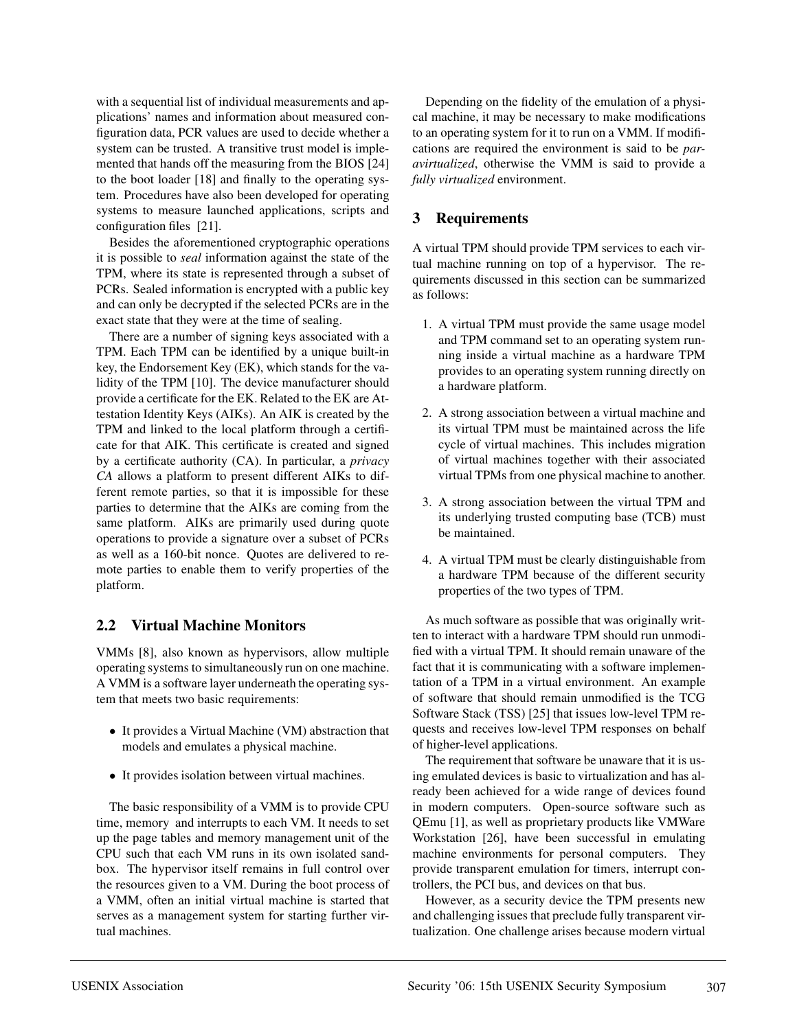with a sequential list of individual measurements and applications' names and information about measured configuration data, PCR values are used to decide whether a system can be trusted. A transitive trust model is implemented that hands off the measuring from the BIOS [24] to the boot loader [18] and finally to the operating system. Procedures have also been developed for operating systems to measure launched applications, scripts and configuration files [21].

Besides the aforementioned cryptographic operations it is possible to *seal* information against the state of the TPM, where its state is represented through a subset of PCRs. Sealed information is encrypted with a public key and can only be decrypted if the selected PCRs are in the exact state that they were at the time of sealing.

There are a number of signing keys associated with a TPM. Each TPM can be identified by a unique built-in key, the Endorsement Key (EK), which stands for the validity of the TPM [10]. The device manufacturer should provide a certificate for the EK. Related to the EK are Attestation Identity Keys (AIKs). An AIK is created by the TPM and linked to the local platform through a certificate for that AIK. This certificate is created and signed by a certificate authority (CA). In particular, a *privacy CA* allows a platform to present different AIKs to different remote parties, so that it is impossible for these parties to determine that the AIKs are coming from the same platform. AIKs are primarily used during quote operations to provide a signature over a subset of PCRs as well as a 160-bit nonce. Quotes are delivered to remote parties to enable them to verify properties of the platform.

### **2.2 Virtual Machine Monitors**

VMMs [8], also known as hypervisors, allow multiple operating systems to simultaneously run on one machine. A VMM is a software layer underneath the operating system that meets two basic requirements:

- It provides a Virtual Machine (VM) abstraction that models and emulates a physical machine.
- It provides isolation between virtual machines.

The basic responsibility of a VMM is to provide CPU time, memory and interrupts to each VM. It needs to set up the page tables and memory management unit of the CPU such that each VM runs in its own isolated sandbox. The hypervisor itself remains in full control over the resources given to a VM. During the boot process of a VMM, often an initial virtual machine is started that serves as a management system for starting further virtual machines.

Depending on the fidelity of the emulation of a physical machine, it may be necessary to make modifications to an operating system for it to run on a VMM. If modifications are required the environment is said to be *paravirtualized*, otherwise the VMM is said to provide a *fully virtualized* environment.

## **3 Requirements**

A virtual TPM should provide TPM services to each virtual machine running on top of a hypervisor. The requirements discussed in this section can be summarized as follows:

- 1. A virtual TPM must provide the same usage model and TPM command set to an operating system running inside a virtual machine as a hardware TPM provides to an operating system running directly on a hardware platform.
- 2. A strong association between a virtual machine and its virtual TPM must be maintained across the life cycle of virtual machines. This includes migration of virtual machines together with their associated virtual TPMs from one physical machine to another.
- 3. A strong association between the virtual TPM and its underlying trusted computing base (TCB) must be maintained.
- 4. A virtual TPM must be clearly distinguishable from a hardware TPM because of the different security properties of the two types of TPM.

As much software as possible that was originally written to interact with a hardware TPM should run unmodified with a virtual TPM. It should remain unaware of the fact that it is communicating with a software implementation of a TPM in a virtual environment. An example of software that should remain unmodified is the TCG Software Stack (TSS) [25] that issues low-level TPM requests and receives low-level TPM responses on behalf of higher-level applications.

The requirement that software be unaware that it is using emulated devices is basic to virtualization and has already been achieved for a wide range of devices found in modern computers. Open-source software such as QEmu [1], as well as proprietary products like VMWare Workstation [26], have been successful in emulating machine environments for personal computers. They provide transparent emulation for timers, interrupt controllers, the PCI bus, and devices on that bus.

However, as a security device the TPM presents new and challenging issues that preclude fully transparent virtualization. One challenge arises because modern virtual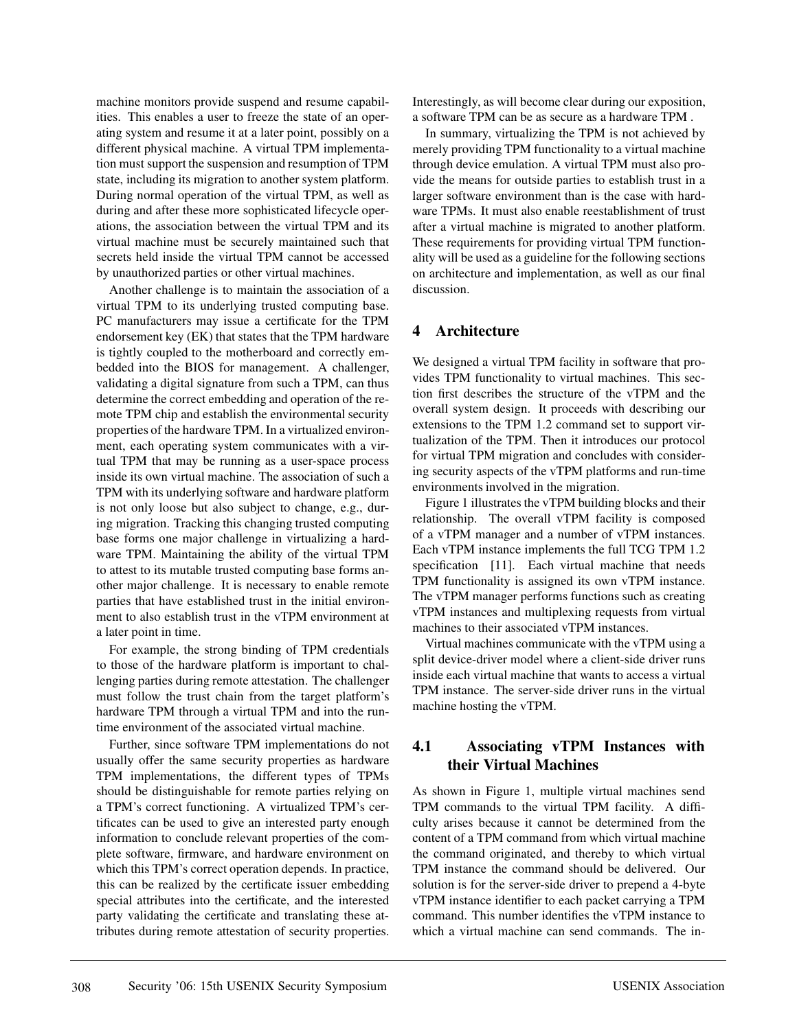machine monitors provide suspend and resume capabilities. This enables a user to freeze the state of an operating system and resume it at a later point, possibly on a different physical machine. A virtual TPM implementation must support the suspension and resumption of TPM state, including its migration to another system platform. During normal operation of the virtual TPM, as well as during and after these more sophisticated lifecycle operations, the association between the virtual TPM and its virtual machine must be securely maintained such that secrets held inside the virtual TPM cannot be accessed by unauthorized parties or other virtual machines.

Another challenge is to maintain the association of a virtual TPM to its underlying trusted computing base. PC manufacturers may issue a certificate for the TPM endorsement key (EK) that states that the TPM hardware is tightly coupled to the motherboard and correctly embedded into the BIOS for management. A challenger, validating a digital signature from such a TPM, can thus determine the correct embedding and operation of the remote TPM chip and establish the environmental security properties of the hardware TPM. In a virtualized environment, each operating system communicates with a virtual TPM that may be running as a user-space process inside its own virtual machine. The association of such a TPM with its underlying software and hardware platform is not only loose but also subject to change, e.g., during migration. Tracking this changing trusted computing base forms one major challenge in virtualizing a hardware TPM. Maintaining the ability of the virtual TPM to attest to its mutable trusted computing base forms another major challenge. It is necessary to enable remote parties that have established trust in the initial environment to also establish trust in the vTPM environment at a later point in time.

For example, the strong binding of TPM credentials to those of the hardware platform is important to challenging parties during remote attestation. The challenger must follow the trust chain from the target platform's hardware TPM through a virtual TPM and into the runtime environment of the associated virtual machine.

Further, since software TPM implementations do not usually offer the same security properties as hardware TPM implementations, the different types of TPMs should be distinguishable for remote parties relying on a TPM's correct functioning. A virtualized TPM's certificates can be used to give an interested party enough information to conclude relevant properties of the complete software, firmware, and hardware environment on which this TPM's correct operation depends. In practice, this can be realized by the certificate issuer embedding special attributes into the certificate, and the interested party validating the certificate and translating these attributes during remote attestation of security properties.

Interestingly, as will become clear during our exposition, a software TPM can be as secure as a hardware TPM .

In summary, virtualizing the TPM is not achieved by merely providing TPM functionality to a virtual machine through device emulation. A virtual TPM must also provide the means for outside parties to establish trust in a larger software environment than is the case with hardware TPMs. It must also enable reestablishment of trust after a virtual machine is migrated to another platform. These requirements for providing virtual TPM functionality will be used as a guideline for the following sections on architecture and implementation, as well as our final discussion.

#### **4 Architecture**

We designed a virtual TPM facility in software that provides TPM functionality to virtual machines. This section first describes the structure of the vTPM and the overall system design. It proceeds with describing our extensions to the TPM 1.2 command set to support virtualization of the TPM. Then it introduces our protocol for virtual TPM migration and concludes with considering security aspects of the vTPM platforms and run-time environments involved in the migration.

Figure 1 illustrates the vTPM building blocks and their relationship. The overall vTPM facility is composed of a vTPM manager and a number of vTPM instances. Each vTPM instance implements the full TCG TPM 1.2 specification [11]. Each virtual machine that needs TPM functionality is assigned its own vTPM instance. The vTPM manager performs functions such as creating vTPM instances and multiplexing requests from virtual machines to their associated vTPM instances.

Virtual machines communicate with the vTPM using a split device-driver model where a client-side driver runs inside each virtual machine that wants to access a virtual TPM instance. The server-side driver runs in the virtual machine hosting the vTPM.

### **4.1 Associating vTPM Instances with their Virtual Machines**

As shown in Figure 1, multiple virtual machines send TPM commands to the virtual TPM facility. A difficulty arises because it cannot be determined from the content of a TPM command from which virtual machine the command originated, and thereby to which virtual TPM instance the command should be delivered. Our solution is for the server-side driver to prepend a 4-byte vTPM instance identifier to each packet carrying a TPM command. This number identifies the vTPM instance to which a virtual machine can send commands. The in-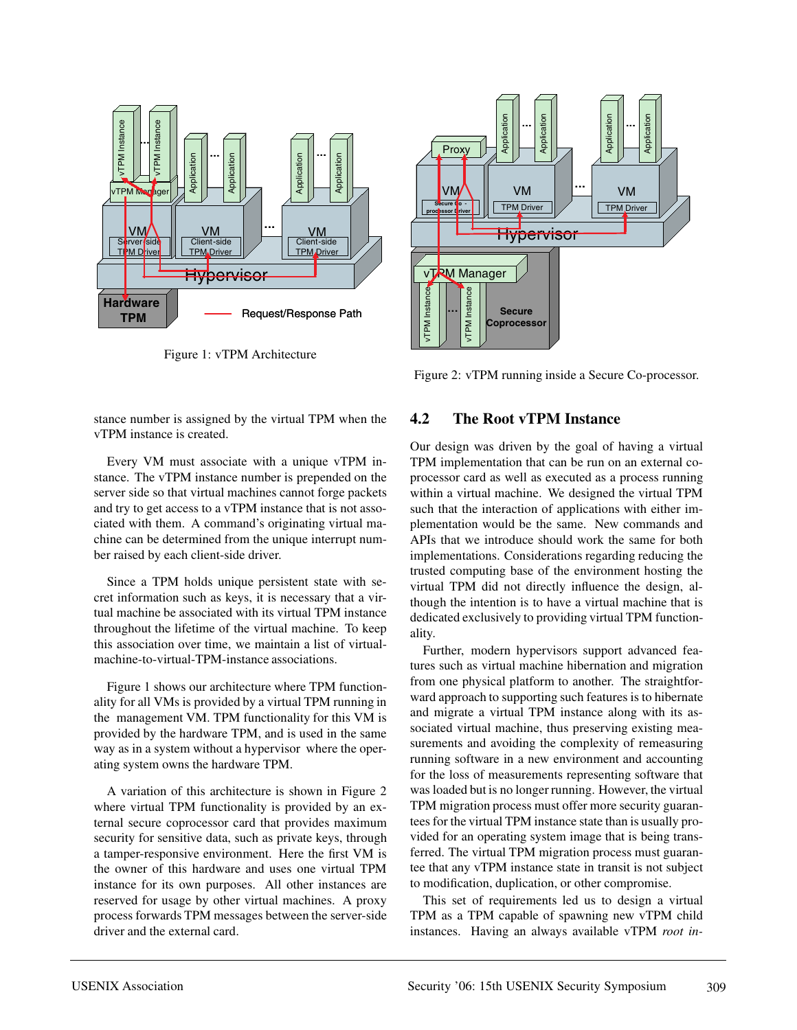

Figure 1: vTPM Architecture

stance number is assigned by the virtual TPM when the vTPM instance is created.

Every VM must associate with a unique vTPM instance. The vTPM instance number is prepended on the server side so that virtual machines cannot forge packets and try to get access to a vTPM instance that is not associated with them. A command's originating virtual machine can be determined from the unique interrupt number raised by each client-side driver.

Since a TPM holds unique persistent state with secret information such as keys, it is necessary that a virtual machine be associated with its virtual TPM instance throughout the lifetime of the virtual machine. To keep this association over time, we maintain a list of virtualmachine-to-virtual-TPM-instance associations.

Figure 1 shows our architecture where TPM functionality for all VMs is provided by a virtual TPM running in the management VM. TPM functionality for this VM is provided by the hardware TPM, and is used in the same way as in a system without a hypervisor where the operating system owns the hardware TPM.

A variation of this architecture is shown in Figure 2 where virtual TPM functionality is provided by an external secure coprocessor card that provides maximum security for sensitive data, such as private keys, through a tamper-responsive environment. Here the first VM is the owner of this hardware and uses one virtual TPM instance for its own purposes. All other instances are reserved for usage by other virtual machines. A proxy process forwards TPM messages between the server-side driver and the external card.



Figure 2: vTPM running inside a Secure Co-processor.

#### **4.2 The Root vTPM Instance**

Our design was driven by the goal of having a virtual TPM implementation that can be run on an external coprocessor card as well as executed as a process running within a virtual machine. We designed the virtual TPM such that the interaction of applications with either implementation would be the same. New commands and APIs that we introduce should work the same for both implementations. Considerations regarding reducing the trusted computing base of the environment hosting the virtual TPM did not directly influence the design, although the intention is to have a virtual machine that is dedicated exclusively to providing virtual TPM functionality.

Further, modern hypervisors support advanced features such as virtual machine hibernation and migration from one physical platform to another. The straightforward approach to supporting such features is to hibernate and migrate a virtual TPM instance along with its associated virtual machine, thus preserving existing measurements and avoiding the complexity of remeasuring running software in a new environment and accounting for the loss of measurements representing software that was loaded but is no longer running. However, the virtual TPM migration process must offer more security guarantees for the virtual TPM instance state than is usually provided for an operating system image that is being transferred. The virtual TPM migration process must guarantee that any vTPM instance state in transit is not subject to modification, duplication, or other compromise.

This set of requirements led us to design a virtual TPM as a TPM capable of spawning new vTPM child instances. Having an always available vTPM *root in-*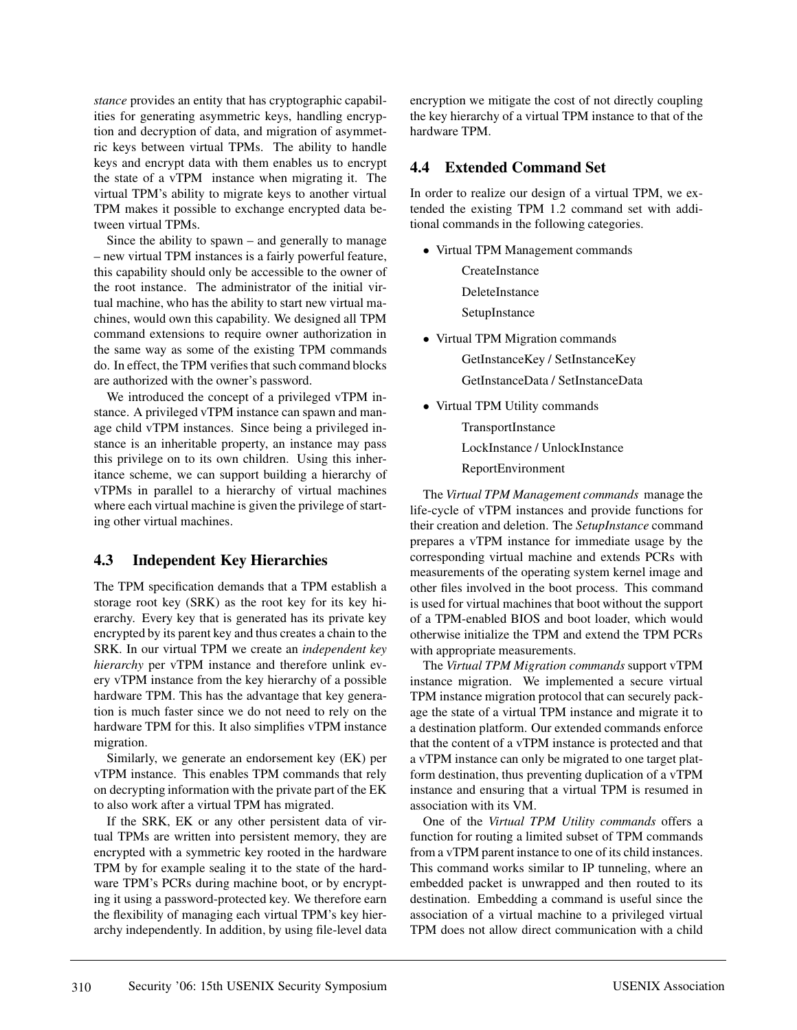*stance* provides an entity that has cryptographic capabilities for generating asymmetric keys, handling encryption and decryption of data, and migration of asymmetric keys between virtual TPMs. The ability to handle keys and encrypt data with them enables us to encrypt the state of a vTPM instance when migrating it. The virtual TPM's ability to migrate keys to another virtual TPM makes it possible to exchange encrypted data between virtual TPMs.

Since the ability to spawn – and generally to manage – new virtual TPM instances is a fairly powerful feature, this capability should only be accessible to the owner of the root instance. The administrator of the initial virtual machine, who has the ability to start new virtual machines, would own this capability. We designed all TPM command extensions to require owner authorization in the same way as some of the existing TPM commands do. In effect, the TPM verifies that such command blocks are authorized with the owner's password.

We introduced the concept of a privileged vTPM instance. A privileged vTPM instance can spawn and manage child vTPM instances. Since being a privileged instance is an inheritable property, an instance may pass this privilege on to its own children. Using this inheritance scheme, we can support building a hierarchy of vTPMs in parallel to a hierarchy of virtual machines where each virtual machine is given the privilege of starting other virtual machines.

### **4.3 Independent Key Hierarchies**

The TPM specification demands that a TPM establish a storage root key (SRK) as the root key for its key hierarchy. Every key that is generated has its private key encrypted by its parent key and thus creates a chain to the SRK. In our virtual TPM we create an *independent key hierarchy* per vTPM instance and therefore unlink every vTPM instance from the key hierarchy of a possible hardware TPM. This has the advantage that key generation is much faster since we do not need to rely on the hardware TPM for this. It also simplifies vTPM instance migration.

Similarly, we generate an endorsement key (EK) per vTPM instance. This enables TPM commands that rely on decrypting information with the private part of the EK to also work after a virtual TPM has migrated.

If the SRK, EK or any other persistent data of virtual TPMs are written into persistent memory, they are encrypted with a symmetric key rooted in the hardware TPM by for example sealing it to the state of the hardware TPM's PCRs during machine boot, or by encrypting it using a password-protected key. We therefore earn the flexibility of managing each virtual TPM's key hierarchy independently. In addition, by using file-level data encryption we mitigate the cost of not directly coupling the key hierarchy of a virtual TPM instance to that of the hardware TPM.

## **4.4 Extended Command Set**

In order to realize our design of a virtual TPM, we extended the existing TPM 1.2 command set with additional commands in the following categories.

- Virtual TPM Management commands **CreateInstance** DeleteInstance
	- SetupInstance
- Virtual TPM Migration commands GetInstanceKey / SetInstanceKey GetInstanceData / SetInstanceData
- Virtual TPM Utility commands

**TransportInstance** 

LockInstance / UnlockInstance

ReportEnvironment

The *Virtual TPM Management commands* manage the life-cycle of vTPM instances and provide functions for their creation and deletion. The *SetupInstance* command prepares a vTPM instance for immediate usage by the corresponding virtual machine and extends PCRs with measurements of the operating system kernel image and other files involved in the boot process. This command is used for virtual machines that boot without the support of a TPM-enabled BIOS and boot loader, which would otherwise initialize the TPM and extend the TPM PCRs with appropriate measurements.

The *Virtual TPM Migration commands* support vTPM instance migration. We implemented a secure virtual TPM instance migration protocol that can securely package the state of a virtual TPM instance and migrate it to a destination platform. Our extended commands enforce that the content of a vTPM instance is protected and that a vTPM instance can only be migrated to one target platform destination, thus preventing duplication of a vTPM instance and ensuring that a virtual TPM is resumed in association with its VM.

One of the *Virtual TPM Utility commands* offers a function for routing a limited subset of TPM commands from a vTPM parent instance to one of its child instances. This command works similar to IP tunneling, where an embedded packet is unwrapped and then routed to its destination. Embedding a command is useful since the association of a virtual machine to a privileged virtual TPM does not allow direct communication with a child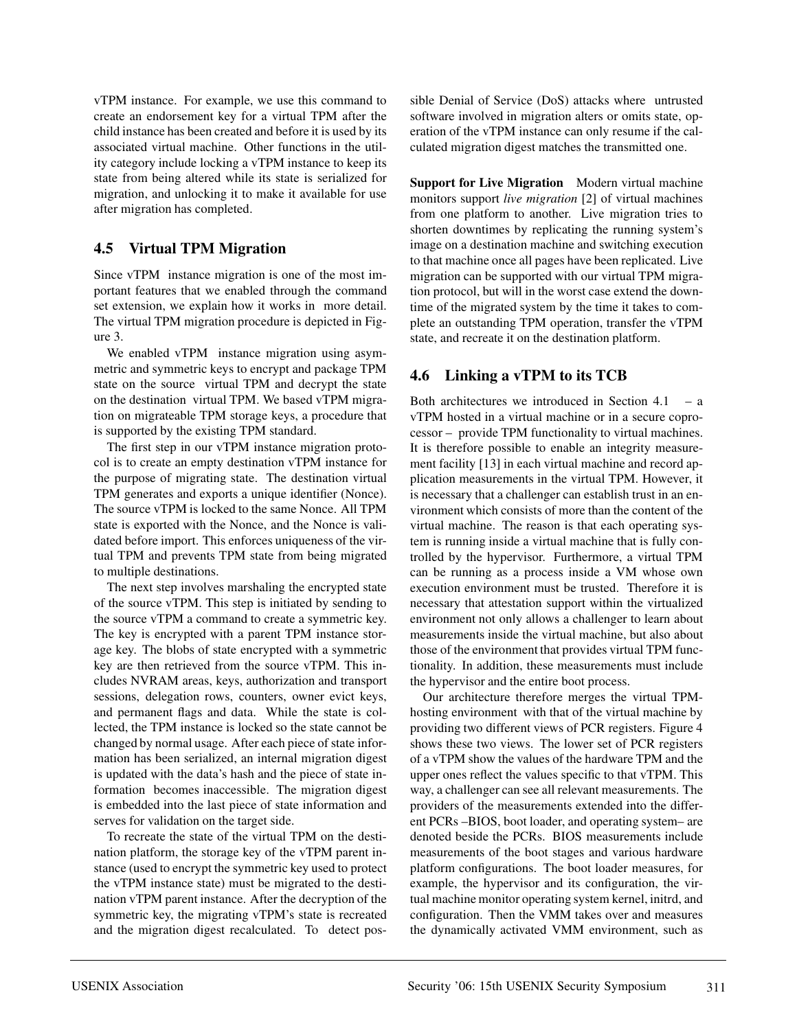vTPM instance. For example, we use this command to create an endorsement key for a virtual TPM after the child instance has been created and before it is used by its associated virtual machine. Other functions in the utility category include locking a vTPM instance to keep its state from being altered while its state is serialized for migration, and unlocking it to make it available for use after migration has completed.

## **4.5 Virtual TPM Migration**

Since vTPM instance migration is one of the most important features that we enabled through the command set extension, we explain how it works in more detail. The virtual TPM migration procedure is depicted in Figure 3.

We enabled vTPM instance migration using asymmetric and symmetric keys to encrypt and package TPM state on the source virtual TPM and decrypt the state on the destination virtual TPM. We based vTPM migration on migrateable TPM storage keys, a procedure that is supported by the existing TPM standard.

The first step in our vTPM instance migration protocol is to create an empty destination vTPM instance for the purpose of migrating state. The destination virtual TPM generates and exports a unique identifier (Nonce). The source vTPM is locked to the same Nonce. All TPM state is exported with the Nonce, and the Nonce is validated before import. This enforces uniqueness of the virtual TPM and prevents TPM state from being migrated to multiple destinations.

The next step involves marshaling the encrypted state of the source vTPM. This step is initiated by sending to the source vTPM a command to create a symmetric key. The key is encrypted with a parent TPM instance storage key. The blobs of state encrypted with a symmetric key are then retrieved from the source vTPM. This includes NVRAM areas, keys, authorization and transport sessions, delegation rows, counters, owner evict keys, and permanent flags and data. While the state is collected, the TPM instance is locked so the state cannot be changed by normal usage. After each piece of state information has been serialized, an internal migration digest is updated with the data's hash and the piece of state information becomes inaccessible. The migration digest is embedded into the last piece of state information and serves for validation on the target side.

To recreate the state of the virtual TPM on the destination platform, the storage key of the vTPM parent instance (used to encrypt the symmetric key used to protect the vTPM instance state) must be migrated to the destination vTPM parent instance. After the decryption of the symmetric key, the migrating vTPM's state is recreated and the migration digest recalculated. To detect possible Denial of Service (DoS) attacks where untrusted software involved in migration alters or omits state, operation of the vTPM instance can only resume if the calculated migration digest matches the transmitted one.

**Support for Live Migration** Modern virtual machine monitors support *live migration* [2] of virtual machines from one platform to another. Live migration tries to shorten downtimes by replicating the running system's image on a destination machine and switching execution to that machine once all pages have been replicated. Live migration can be supported with our virtual TPM migration protocol, but will in the worst case extend the downtime of the migrated system by the time it takes to complete an outstanding TPM operation, transfer the vTPM state, and recreate it on the destination platform.

## **4.6 Linking a vTPM to its TCB**

Both architectures we introduced in Section 4.1 – a vTPM hosted in a virtual machine or in a secure coprocessor – provide TPM functionality to virtual machines. It is therefore possible to enable an integrity measurement facility [13] in each virtual machine and record application measurements in the virtual TPM. However, it is necessary that a challenger can establish trust in an environment which consists of more than the content of the virtual machine. The reason is that each operating system is running inside a virtual machine that is fully controlled by the hypervisor. Furthermore, a virtual TPM can be running as a process inside a VM whose own execution environment must be trusted. Therefore it is necessary that attestation support within the virtualized environment not only allows a challenger to learn about measurements inside the virtual machine, but also about those of the environment that provides virtual TPM functionality. In addition, these measurements must include the hypervisor and the entire boot process.

Our architecture therefore merges the virtual TPMhosting environment with that of the virtual machine by providing two different views of PCR registers. Figure 4 shows these two views. The lower set of PCR registers of a vTPM show the values of the hardware TPM and the upper ones reflect the values specific to that vTPM. This way, a challenger can see all relevant measurements. The providers of the measurements extended into the different PCRs –BIOS, boot loader, and operating system– are denoted beside the PCRs. BIOS measurements include measurements of the boot stages and various hardware platform configurations. The boot loader measures, for example, the hypervisor and its configuration, the virtual machine monitor operating system kernel, initrd, and configuration. Then the VMM takes over and measures the dynamically activated VMM environment, such as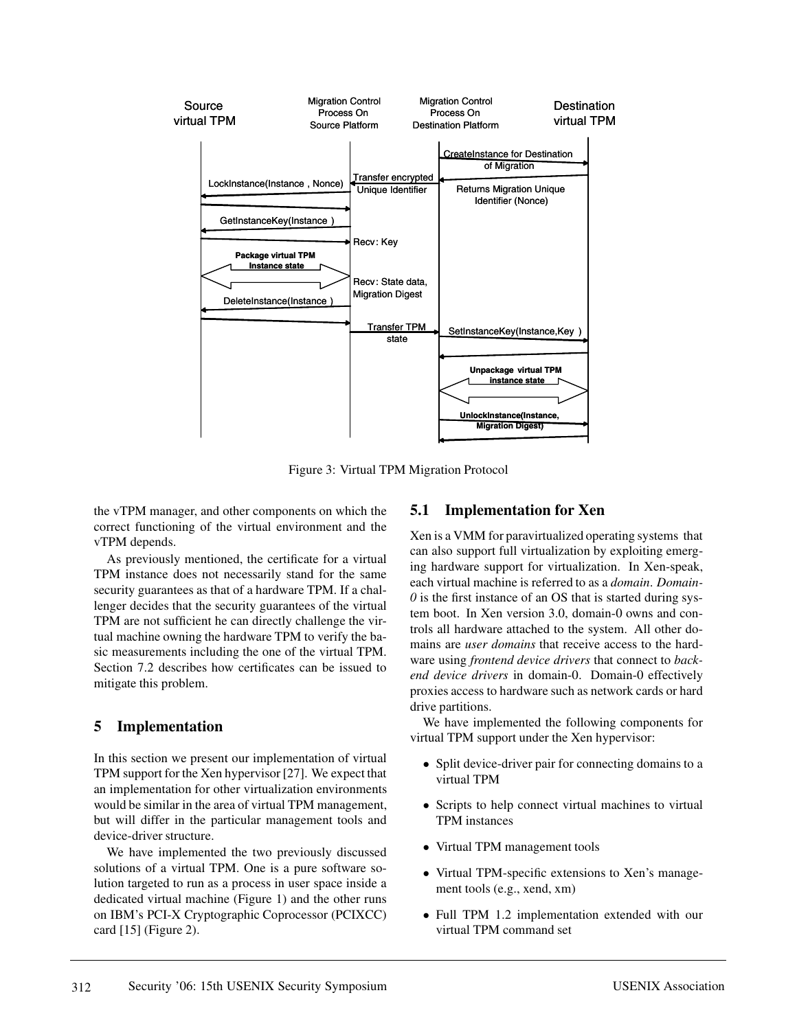

Figure 3: Virtual TPM Migration Protocol

the vTPM manager, and other components on which the correct functioning of the virtual environment and the vTPM depends.

As previously mentioned, the certificate for a virtual TPM instance does not necessarily stand for the same security guarantees as that of a hardware TPM. If a challenger decides that the security guarantees of the virtual TPM are not sufficient he can directly challenge the virtual machine owning the hardware TPM to verify the basic measurements including the one of the virtual TPM. Section 7.2 describes how certificates can be issued to mitigate this problem.

### **5 Implementation**

In this section we present our implementation of virtual TPM support for the Xen hypervisor [27]. We expect that an implementation for other virtualization environments would be similar in the area of virtual TPM management, but will differ in the particular management tools and device-driver structure.

We have implemented the two previously discussed solutions of a virtual TPM. One is a pure software solution targeted to run as a process in user space inside a dedicated virtual machine (Figure 1) and the other runs on IBM's PCI-X Cryptographic Coprocessor (PCIXCC) card [15] (Figure 2).

## **5.1 Implementation for Xen**

Xen is a VMM for paravirtualized operating systems that can also support full virtualization by exploiting emerging hardware support for virtualization. In Xen-speak, each virtual machine is referred to as a *domain*. *Domain-0* is the first instance of an OS that is started during system boot. In Xen version 3.0, domain-0 owns and controls all hardware attached to the system. All other domains are *user domains* that receive access to the hardware using *frontend device drivers* that connect to *backend device drivers* in domain-0. Domain-0 effectively proxies access to hardware such as network cards or hard drive partitions.

We have implemented the following components for virtual TPM support under the Xen hypervisor:

- Split device-driver pair for connecting domains to a virtual TPM
- Scripts to help connect virtual machines to virtual TPM instances
- Virtual TPM management tools
- Virtual TPM-specific extensions to Xen's management tools (e.g., xend, xm)
- Full TPM 1.2 implementation extended with our virtual TPM command set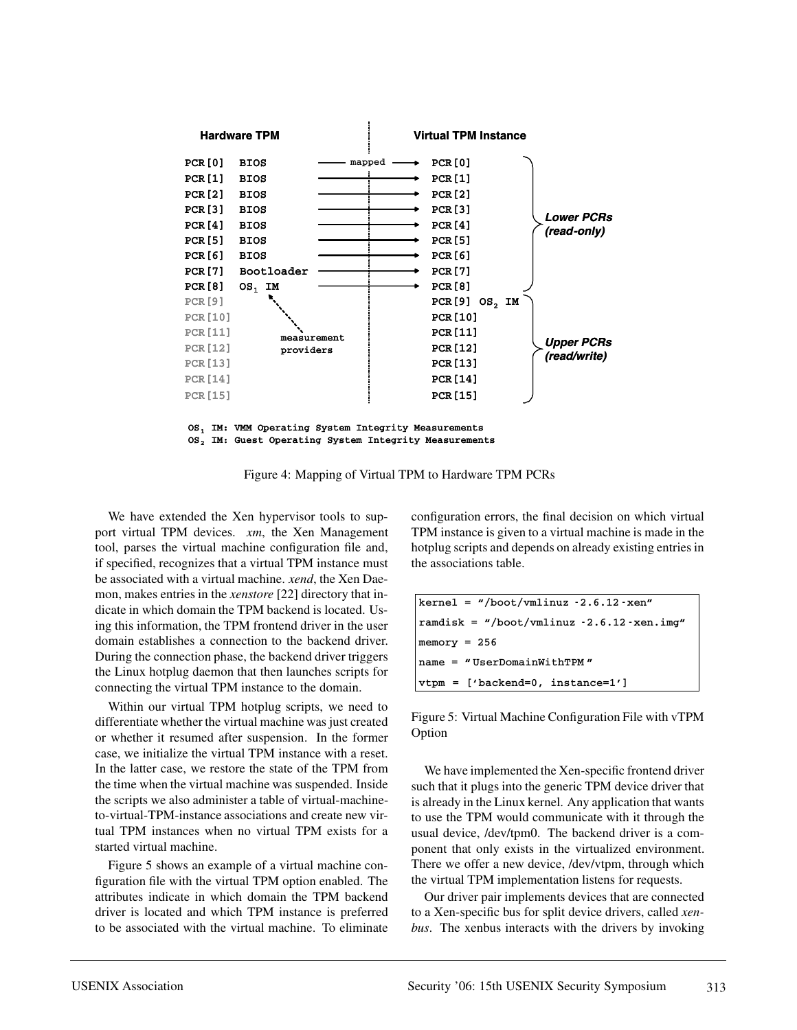

Figure 4: Mapping of Virtual TPM to Hardware TPM PCRs

We have extended the Xen hypervisor tools to support virtual TPM devices. *xm*, the Xen Management tool, parses the virtual machine configuration file and, if specified, recognizes that a virtual TPM instance must be associated with a virtual machine. *xend*, the Xen Daemon, makes entries in the *xenstore* [22] directory that indicate in which domain the TPM backend is located. Using this information, the TPM frontend driver in the user domain establishes a connection to the backend driver. During the connection phase, the backend driver triggers the Linux hotplug daemon that then launches scripts for connecting the virtual TPM instance to the domain.

Within our virtual TPM hotplug scripts, we need to differentiate whether the virtual machine was just created or whether it resumed after suspension. In the former case, we initialize the virtual TPM instance with a reset. In the latter case, we restore the state of the TPM from the time when the virtual machine was suspended. Inside the scripts we also administer a table of virtual-machineto-virtual-TPM-instance associations and create new virtual TPM instances when no virtual TPM exists for a started virtual machine.

Figure 5 shows an example of a virtual machine configuration file with the virtual TPM option enabled. The attributes indicate in which domain the TPM backend driver is located and which TPM instance is preferred to be associated with the virtual machine. To eliminate configuration errors, the final decision on which virtual TPM instance is given to a virtual machine is made in the hotplug scripts and depends on already existing entries in the associations table.

| $\text{kernel} = \text{``}/\text{boot}/\text{vmlinuz -2.6.12 -\text{sen''}}$ |  |  |  |
|------------------------------------------------------------------------------|--|--|--|
| $randisk =$ "/boot/vmlinuz $-2.6.12$ -xen.img"                               |  |  |  |
| $memory = 256$                                                               |  |  |  |
| $name = "UserDomainWithTPM"$                                                 |  |  |  |
| $ \texttt{vtpm} = [$ 'backend=0, instance=1']                                |  |  |  |

Figure 5: Virtual Machine Configuration File with vTPM Option

We have implemented the Xen-specific frontend driver such that it plugs into the generic TPM device driver that is already in the Linux kernel. Any application that wants to use the TPM would communicate with it through the usual device, /dev/tpm0. The backend driver is a component that only exists in the virtualized environment. There we offer a new device, /dev/vtpm, through which the virtual TPM implementation listens for requests.

Our driver pair implements devices that are connected to a Xen-specific bus for split device drivers, called *xenbus*. The xenbus interacts with the drivers by invoking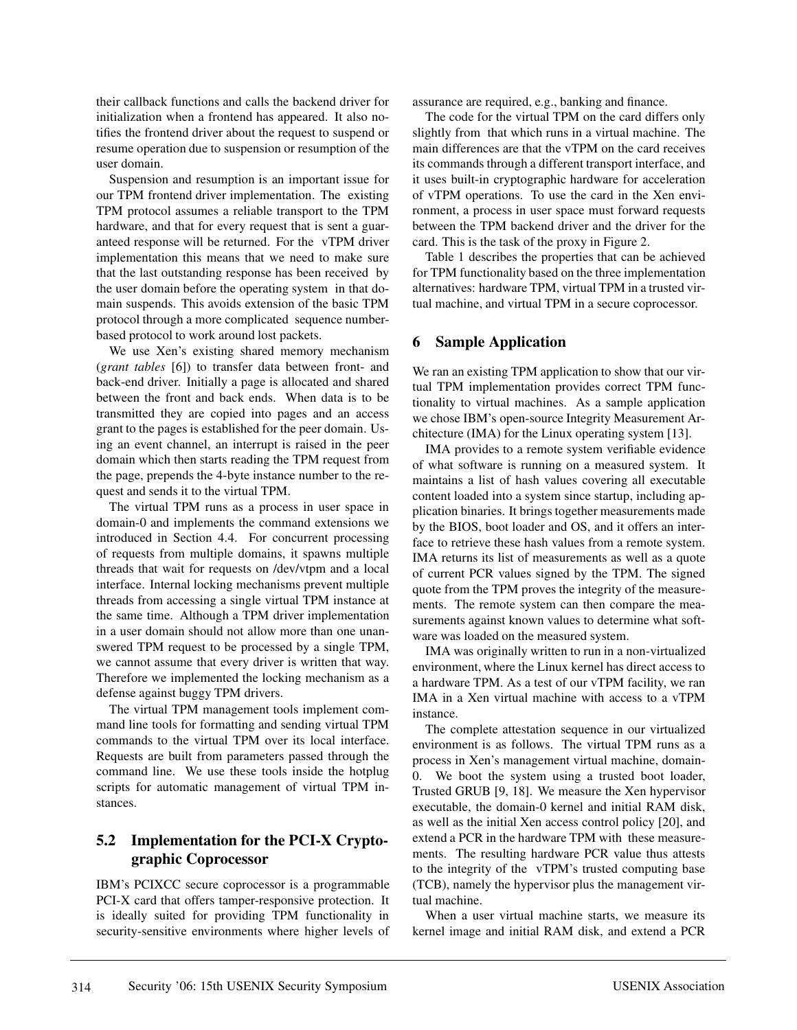their callback functions and calls the backend driver for initialization when a frontend has appeared. It also notifies the frontend driver about the request to suspend or resume operation due to suspension or resumption of the user domain.

Suspension and resumption is an important issue for our TPM frontend driver implementation. The existing TPM protocol assumes a reliable transport to the TPM hardware, and that for every request that is sent a guaranteed response will be returned. For the vTPM driver implementation this means that we need to make sure that the last outstanding response has been received by the user domain before the operating system in that domain suspends. This avoids extension of the basic TPM protocol through a more complicated sequence numberbased protocol to work around lost packets.

We use Xen's existing shared memory mechanism (*grant tables* [6]) to transfer data between front- and back-end driver. Initially a page is allocated and shared between the front and back ends. When data is to be transmitted they are copied into pages and an access grant to the pages is established for the peer domain. Using an event channel, an interrupt is raised in the peer domain which then starts reading the TPM request from the page, prepends the 4-byte instance number to the request and sends it to the virtual TPM.

The virtual TPM runs as a process in user space in domain-0 and implements the command extensions we introduced in Section 4.4. For concurrent processing of requests from multiple domains, it spawns multiple threads that wait for requests on /dev/vtpm and a local interface. Internal locking mechanisms prevent multiple threads from accessing a single virtual TPM instance at the same time. Although a TPM driver implementation in a user domain should not allow more than one unanswered TPM request to be processed by a single TPM, we cannot assume that every driver is written that way. Therefore we implemented the locking mechanism as a defense against buggy TPM drivers.

The virtual TPM management tools implement command line tools for formatting and sending virtual TPM commands to the virtual TPM over its local interface. Requests are built from parameters passed through the command line. We use these tools inside the hotplug scripts for automatic management of virtual TPM instances.

## **5.2 Implementation for the PCI-X Cryptographic Coprocessor**

IBM's PCIXCC secure coprocessor is a programmable PCI-X card that offers tamper-responsive protection. It is ideally suited for providing TPM functionality in security-sensitive environments where higher levels of assurance are required, e.g., banking and finance.

The code for the virtual TPM on the card differs only slightly from that which runs in a virtual machine. The main differences are that the vTPM on the card receives its commands through a different transport interface, and it uses built-in cryptographic hardware for acceleration of vTPM operations. To use the card in the Xen environment, a process in user space must forward requests between the TPM backend driver and the driver for the card. This is the task of the proxy in Figure 2.

Table 1 describes the properties that can be achieved for TPM functionality based on the three implementation alternatives: hardware TPM, virtual TPM in a trusted virtual machine, and virtual TPM in a secure coprocessor.

#### **6 Sample Application**

We ran an existing TPM application to show that our virtual TPM implementation provides correct TPM functionality to virtual machines. As a sample application we chose IBM's open-source Integrity Measurement Architecture (IMA) for the Linux operating system [13].

IMA provides to a remote system verifiable evidence of what software is running on a measured system. It maintains a list of hash values covering all executable content loaded into a system since startup, including application binaries. It brings together measurements made by the BIOS, boot loader and OS, and it offers an interface to retrieve these hash values from a remote system. IMA returns its list of measurements as well as a quote of current PCR values signed by the TPM. The signed quote from the TPM proves the integrity of the measurements. The remote system can then compare the measurements against known values to determine what software was loaded on the measured system.

IMA was originally written to run in a non-virtualized environment, where the Linux kernel has direct access to a hardware TPM. As a test of our vTPM facility, we ran IMA in a Xen virtual machine with access to a vTPM instance.

The complete attestation sequence in our virtualized environment is as follows. The virtual TPM runs as a process in Xen's management virtual machine, domain-0. We boot the system using a trusted boot loader, Trusted GRUB [9, 18]. We measure the Xen hypervisor executable, the domain-0 kernel and initial RAM disk, as well as the initial Xen access control policy [20], and extend a PCR in the hardware TPM with these measurements. The resulting hardware PCR value thus attests to the integrity of the vTPM's trusted computing base (TCB), namely the hypervisor plus the management virtual machine.

When a user virtual machine starts, we measure its kernel image and initial RAM disk, and extend a PCR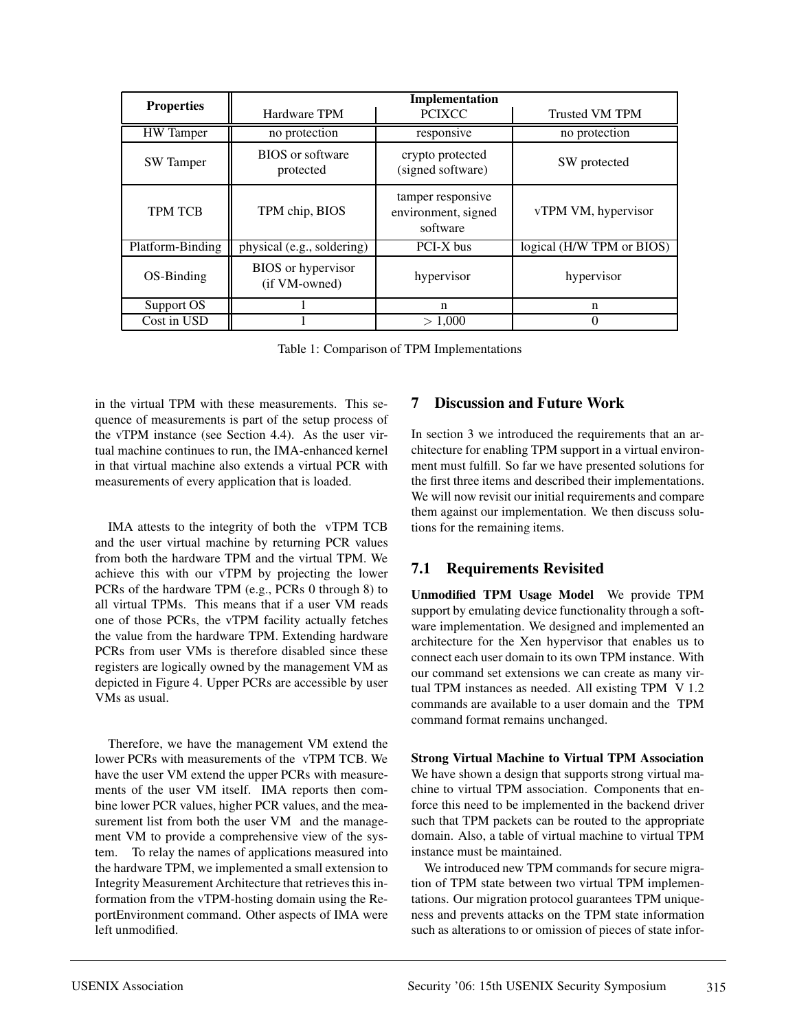|                   | Implementation                             |                                                      |                           |  |
|-------------------|--------------------------------------------|------------------------------------------------------|---------------------------|--|
| <b>Properties</b> | Hardware TPM                               | <b>PCIXCC</b>                                        | <b>Trusted VM TPM</b>     |  |
| <b>HW</b> Tamper  | no protection                              | responsive                                           | no protection             |  |
| <b>SW</b> Tamper  | <b>BIOS</b> or software<br>protected       | crypto protected<br>(signed software)                | SW protected              |  |
| <b>TPM TCB</b>    | TPM chip, BIOS                             | tamper responsive<br>environment, signed<br>software | vTPM VM, hypervisor       |  |
| Platform-Binding  | physical (e.g., soldering)                 | PCI-X bus                                            | logical (H/W TPM or BIOS) |  |
| OS-Binding        | <b>BIOS</b> or hypervisor<br>(if VM-owned) | hypervisor                                           | hypervisor                |  |
| Support OS        |                                            | n                                                    | n                         |  |
| Cost in USD       |                                            | > 1,000                                              | 0                         |  |

Table 1: Comparison of TPM Implementations

in the virtual TPM with these measurements. This sequence of measurements is part of the setup process of the vTPM instance (see Section 4.4). As the user virtual machine continues to run, the IMA-enhanced kernel in that virtual machine also extends a virtual PCR with measurements of every application that is loaded.

IMA attests to the integrity of both the vTPM TCB and the user virtual machine by returning PCR values from both the hardware TPM and the virtual TPM. We achieve this with our vTPM by projecting the lower PCRs of the hardware TPM (e.g., PCRs 0 through 8) to all virtual TPMs. This means that if a user VM reads one of those PCRs, the vTPM facility actually fetches the value from the hardware TPM. Extending hardware PCRs from user VMs is therefore disabled since these registers are logically owned by the management VM as depicted in Figure 4. Upper PCRs are accessible by user VMs as usual.

Therefore, we have the management VM extend the lower PCRs with measurements of the vTPM TCB. We have the user VM extend the upper PCRs with measurements of the user VM itself. IMA reports then combine lower PCR values, higher PCR values, and the measurement list from both the user VM and the management VM to provide a comprehensive view of the system. To relay the names of applications measured into the hardware TPM, we implemented a small extension to Integrity Measurement Architecture that retrieves this information from the vTPM-hosting domain using the ReportEnvironment command. Other aspects of IMA were left unmodified.

### **7 Discussion and Future Work**

In section 3 we introduced the requirements that an architecture for enabling TPM support in a virtual environment must fulfill. So far we have presented solutions for the first three items and described their implementations. We will now revisit our initial requirements and compare them against our implementation. We then discuss solutions for the remaining items.

## **7.1 Requirements Revisited**

**Unmodified TPM Usage Model** We provide TPM support by emulating device functionality through a software implementation. We designed and implemented an architecture for the Xen hypervisor that enables us to connect each user domain to its own TPM instance. With our command set extensions we can create as many virtual TPM instances as needed. All existing TPM V 1.2 commands are available to a user domain and the TPM command format remains unchanged.

**Strong Virtual Machine to Virtual TPM Association** We have shown a design that supports strong virtual machine to virtual TPM association. Components that enforce this need to be implemented in the backend driver such that TPM packets can be routed to the appropriate domain. Also, a table of virtual machine to virtual TPM instance must be maintained.

We introduced new TPM commands for secure migration of TPM state between two virtual TPM implementations. Our migration protocol guarantees TPM uniqueness and prevents attacks on the TPM state information such as alterations to or omission of pieces of state infor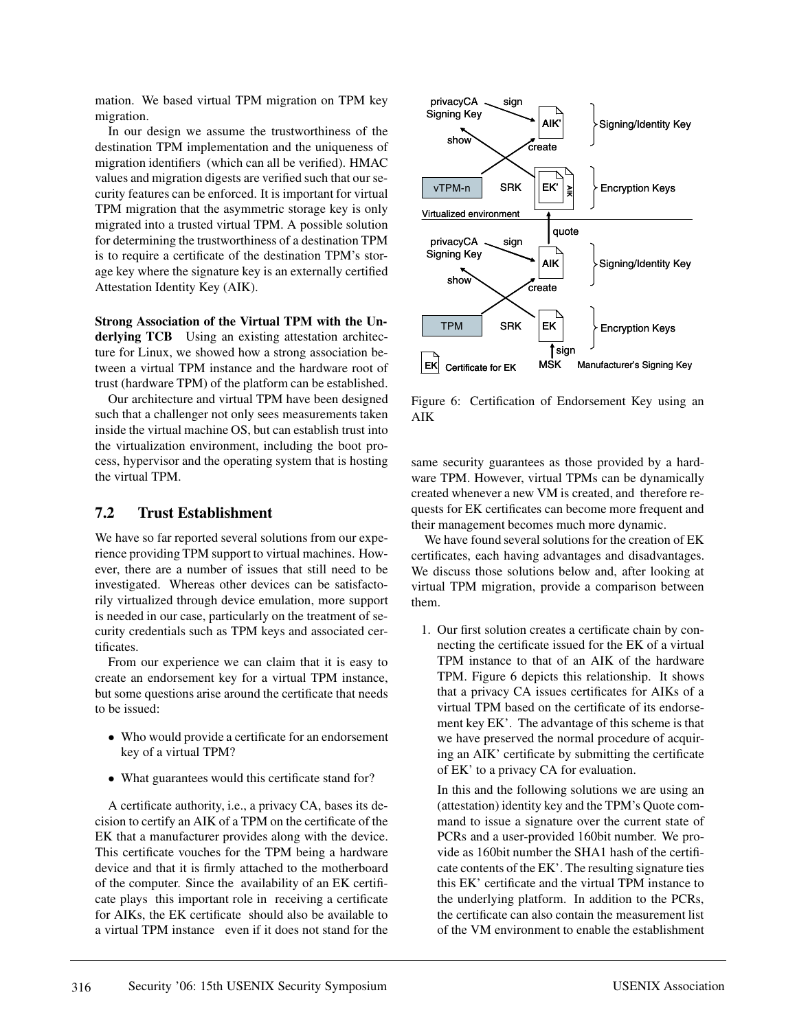mation. We based virtual TPM migration on TPM key migration.

In our design we assume the trustworthiness of the destination TPM implementation and the uniqueness of migration identifiers (which can all be verified). HMAC values and migration digests are verified such that our security features can be enforced. It is important for virtual TPM migration that the asymmetric storage key is only migrated into a trusted virtual TPM. A possible solution for determining the trustworthiness of a destination TPM is to require a certificate of the destination TPM's storage key where the signature key is an externally certified Attestation Identity Key (AIK).

**Strong Association of the Virtual TPM with the Underlying TCB** Using an existing attestation architecture for Linux, we showed how a strong association between a virtual TPM instance and the hardware root of trust (hardware TPM) of the platform can be established.

Our architecture and virtual TPM have been designed such that a challenger not only sees measurements taken inside the virtual machine OS, but can establish trust into the virtualization environment, including the boot process, hypervisor and the operating system that is hosting the virtual TPM.

#### **7.2 Trust Establishment**

We have so far reported several solutions from our experience providing TPM support to virtual machines. However, there are a number of issues that still need to be investigated. Whereas other devices can be satisfactorily virtualized through device emulation, more support is needed in our case, particularly on the treatment of security credentials such as TPM keys and associated certificates.

From our experience we can claim that it is easy to create an endorsement key for a virtual TPM instance, but some questions arise around the certificate that needs to be issued:

- Who would provide a certificate for an endorsement key of a virtual TPM?
- What guarantees would this certificate stand for?

A certificate authority, i.e., a privacy CA, bases its decision to certify an AIK of a TPM on the certificate of the EK that a manufacturer provides along with the device. This certificate vouches for the TPM being a hardware device and that it is firmly attached to the motherboard of the computer. Since the availability of an EK certificate plays this important role in receiving a certificate for AIKs, the EK certificate should also be available to a virtual TPM instance even if it does not stand for the



Figure 6: Certification of Endorsement Key using an AIK

same security guarantees as those provided by a hardware TPM. However, virtual TPMs can be dynamically created whenever a new VM is created, and therefore requests for EK certificates can become more frequent and their management becomes much more dynamic.

We have found several solutions for the creation of EK certificates, each having advantages and disadvantages. We discuss those solutions below and, after looking at virtual TPM migration, provide a comparison between them.

1. Our first solution creates a certificate chain by connecting the certificate issued for the EK of a virtual TPM instance to that of an AIK of the hardware TPM. Figure 6 depicts this relationship. It shows that a privacy CA issues certificates for AIKs of a virtual TPM based on the certificate of its endorsement key EK'. The advantage of this scheme is that we have preserved the normal procedure of acquiring an AIK' certificate by submitting the certificate of EK' to a privacy CA for evaluation.

In this and the following solutions we are using an (attestation) identity key and the TPM's Quote command to issue a signature over the current state of PCRs and a user-provided 160bit number. We provide as 160bit number the SHA1 hash of the certificate contents of the EK'. The resulting signature ties this EK' certificate and the virtual TPM instance to the underlying platform. In addition to the PCRs, the certificate can also contain the measurement list of the VM environment to enable the establishment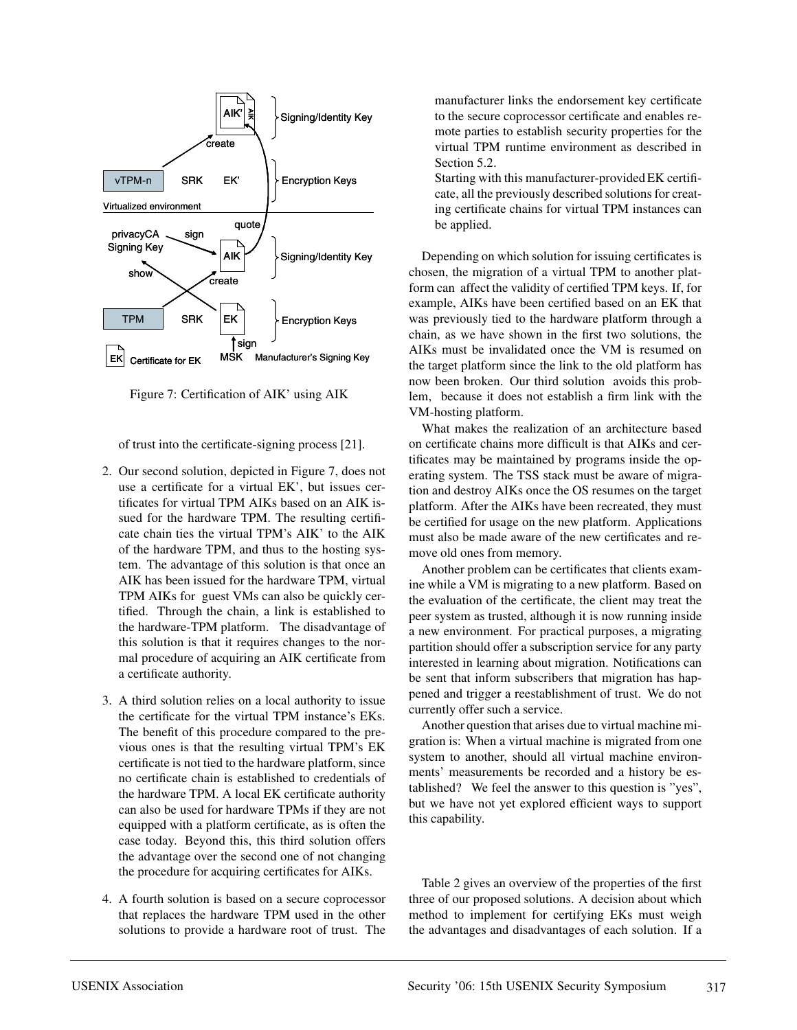

Figure 7: Certification of AIK' using AIK

of trust into the certificate-signing process [21].

- 2. Our second solution, depicted in Figure 7, does not use a certificate for a virtual EK', but issues certificates for virtual TPM AIKs based on an AIK issued for the hardware TPM. The resulting certificate chain ties the virtual TPM's AIK' to the AIK of the hardware TPM, and thus to the hosting system. The advantage of this solution is that once an AIK has been issued for the hardware TPM, virtual TPM AIKs for guest VMs can also be quickly certified. Through the chain, a link is established to the hardware-TPM platform. The disadvantage of this solution is that it requires changes to the normal procedure of acquiring an AIK certificate from a certificate authority.
- 3. A third solution relies on a local authority to issue the certificate for the virtual TPM instance's EKs. The benefit of this procedure compared to the previous ones is that the resulting virtual TPM's EK certificate is not tied to the hardware platform, since no certificate chain is established to credentials of the hardware TPM. A local EK certificate authority can also be used for hardware TPMs if they are not equipped with a platform certificate, as is often the case today. Beyond this, this third solution offers the advantage over the second one of not changing the procedure for acquiring certificates for AIKs.
- 4. A fourth solution is based on a secure coprocessor that replaces the hardware TPM used in the other solutions to provide a hardware root of trust. The

manufacturer links the endorsement key certificate to the secure coprocessor certificate and enables remote parties to establish security properties for the virtual TPM runtime environment as described in Section 5.2.

Starting with this manufacturer-provided EK certificate, all the previously described solutions for creating certificate chains for virtual TPM instances can be applied.

Depending on which solution for issuing certificates is chosen, the migration of a virtual TPM to another platform can affect the validity of certified TPM keys. If, for example, AIKs have been certified based on an EK that was previously tied to the hardware platform through a chain, as we have shown in the first two solutions, the AIKs must be invalidated once the VM is resumed on the target platform since the link to the old platform has now been broken. Our third solution avoids this problem, because it does not establish a firm link with the VM-hosting platform.

What makes the realization of an architecture based on certificate chains more difficult is that AIKs and certificates may be maintained by programs inside the operating system. The TSS stack must be aware of migration and destroy AIKs once the OS resumes on the target platform. After the AIKs have been recreated, they must be certified for usage on the new platform. Applications must also be made aware of the new certificates and remove old ones from memory.

Another problem can be certificates that clients examine while a VM is migrating to a new platform. Based on the evaluation of the certificate, the client may treat the peer system as trusted, although it is now running inside a new environment. For practical purposes, a migrating partition should offer a subscription service for any party interested in learning about migration. Notifications can be sent that inform subscribers that migration has happened and trigger a reestablishment of trust. We do not currently offer such a service.

Another question that arises due to virtual machine migration is: When a virtual machine is migrated from one system to another, should all virtual machine environments' measurements be recorded and a history be established? We feel the answer to this question is "yes", but we have not yet explored efficient ways to support this capability.

Table 2 gives an overview of the properties of the first three of our proposed solutions. A decision about which method to implement for certifying EKs must weigh the advantages and disadvantages of each solution. If a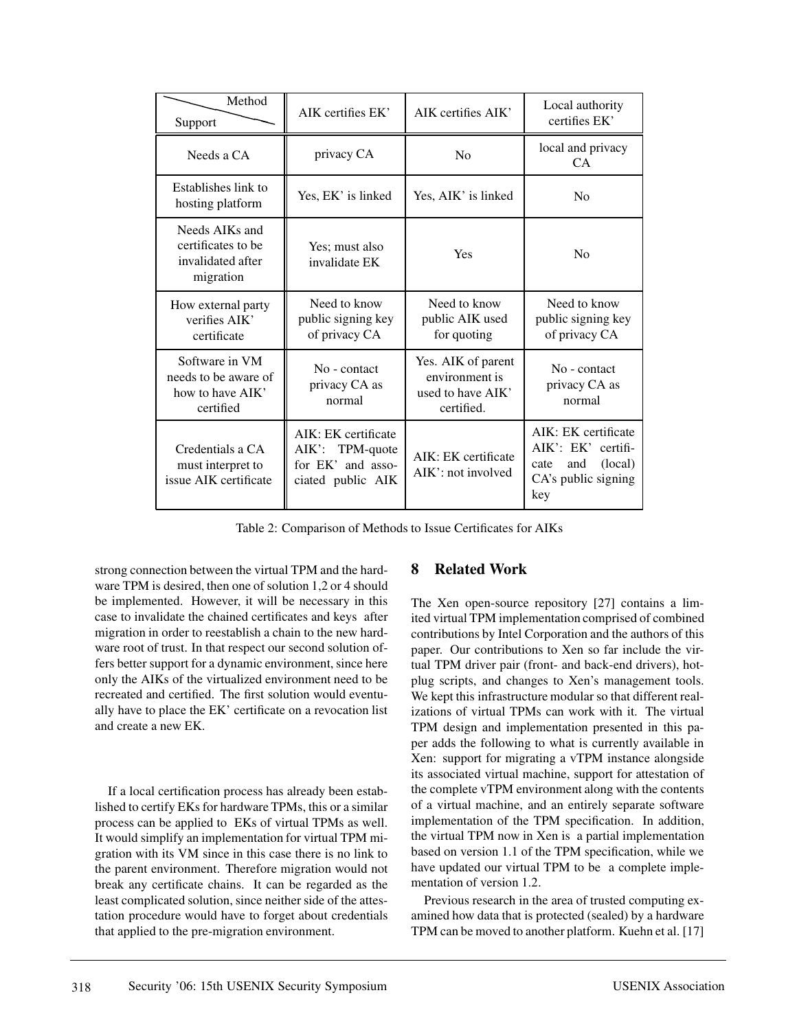| Method<br>Support                                                       | AIK certifies EK'                                                                | AIK certifies AIK'                                                      | Local authority<br>certifies EK'                                                                  |
|-------------------------------------------------------------------------|----------------------------------------------------------------------------------|-------------------------------------------------------------------------|---------------------------------------------------------------------------------------------------|
| Needs a CA                                                              | privacy CA                                                                       | No                                                                      | local and privacy<br>CA.                                                                          |
| Establishes link to<br>hosting platform                                 | Yes, EK' is linked                                                               | Yes, AIK' is linked                                                     | N <sub>0</sub>                                                                                    |
| Needs AIKs and<br>certificates to be<br>invalidated after<br>migration  | Yes; must also<br>invalidate EK                                                  | Yes                                                                     | N <sub>0</sub>                                                                                    |
| How external party<br>verifies AIK'<br>certificate                      | Need to know<br>public signing key<br>of privacy CA                              | Need to know<br>public AIK used<br>for quoting                          | Need to know<br>public signing key<br>of privacy CA                                               |
| Software in VM<br>needs to be aware of<br>how to have AIK'<br>certified | No - contact<br>privacy CA as<br>normal                                          | Yes. AIK of parent<br>environment is<br>used to have AIK'<br>certified. | No - contact<br>privacy CA as<br>normal                                                           |
| Credentials a CA<br>must interpret to<br>issue AIK certificate          | AIK: EK certificate<br>AIK': TPM-quote<br>for EK' and asso-<br>ciated public AIK | AIK: EK certificate<br>$AIK'$ : not involved                            | AIK: EK certificate<br>AIK': EK' certifi-<br>(local)<br>and<br>cate<br>CA's public signing<br>key |

Table 2: Comparison of Methods to Issue Certificates for AIKs

strong connection between the virtual TPM and the hardware TPM is desired, then one of solution 1,2 or 4 should be implemented. However, it will be necessary in this case to invalidate the chained certificates and keys after migration in order to reestablish a chain to the new hardware root of trust. In that respect our second solution offers better support for a dynamic environment, since here only the AIKs of the virtualized environment need to be recreated and certified. The first solution would eventually have to place the EK' certificate on a revocation list and create a new EK.

If a local certification process has already been established to certify EKs for hardware TPMs, this or a similar process can be applied to EKs of virtual TPMs as well. It would simplify an implementation for virtual TPM migration with its VM since in this case there is no link to the parent environment. Therefore migration would not break any certificate chains. It can be regarded as the least complicated solution, since neither side of the attestation procedure would have to forget about credentials that applied to the pre-migration environment.

### **8 Related Work**

The Xen open-source repository [27] contains a limited virtual TPM implementation comprised of combined contributions by Intel Corporation and the authors of this paper. Our contributions to Xen so far include the virtual TPM driver pair (front- and back-end drivers), hotplug scripts, and changes to Xen's management tools. We kept this infrastructure modular so that different realizations of virtual TPMs can work with it. The virtual TPM design and implementation presented in this paper adds the following to what is currently available in Xen: support for migrating a vTPM instance alongside its associated virtual machine, support for attestation of the complete vTPM environment along with the contents of a virtual machine, and an entirely separate software implementation of the TPM specification. In addition, the virtual TPM now in Xen is a partial implementation based on version 1.1 of the TPM specification, while we have updated our virtual TPM to be a complete implementation of version 1.2.

Previous research in the area of trusted computing examined how data that is protected (sealed) by a hardware TPM can be moved to another platform. Kuehn et al. [17]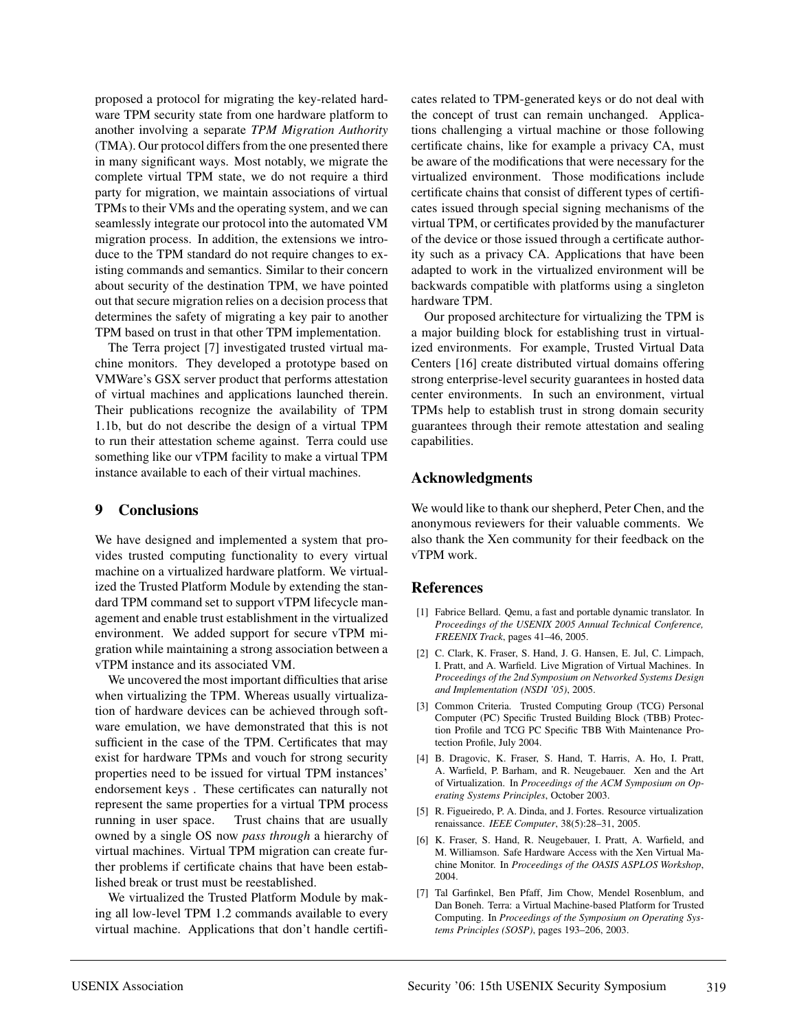proposed a protocol for migrating the key-related hardware TPM security state from one hardware platform to another involving a separate *TPM Migration Authority* (TMA). Our protocol differs from the one presented there in many significant ways. Most notably, we migrate the complete virtual TPM state, we do not require a third party for migration, we maintain associations of virtual TPMs to their VMs and the operating system, and we can seamlessly integrate our protocol into the automated VM migration process. In addition, the extensions we introduce to the TPM standard do not require changes to existing commands and semantics. Similar to their concern about security of the destination TPM, we have pointed out that secure migration relies on a decision process that determines the safety of migrating a key pair to another TPM based on trust in that other TPM implementation.

The Terra project [7] investigated trusted virtual machine monitors. They developed a prototype based on VMWare's GSX server product that performs attestation of virtual machines and applications launched therein. Their publications recognize the availability of TPM 1.1b, but do not describe the design of a virtual TPM to run their attestation scheme against. Terra could use something like our vTPM facility to make a virtual TPM instance available to each of their virtual machines.

#### **9 Conclusions**

We have designed and implemented a system that provides trusted computing functionality to every virtual machine on a virtualized hardware platform. We virtualized the Trusted Platform Module by extending the standard TPM command set to support vTPM lifecycle management and enable trust establishment in the virtualized environment. We added support for secure vTPM migration while maintaining a strong association between a vTPM instance and its associated VM.

We uncovered the most important difficulties that arise when virtualizing the TPM. Whereas usually virtualization of hardware devices can be achieved through software emulation, we have demonstrated that this is not sufficient in the case of the TPM. Certificates that may exist for hardware TPMs and vouch for strong security properties need to be issued for virtual TPM instances' endorsement keys . These certificates can naturally not represent the same properties for a virtual TPM process running in user space. Trust chains that are usually owned by a single OS now *pass through* a hierarchy of virtual machines. Virtual TPM migration can create further problems if certificate chains that have been established break or trust must be reestablished.

We virtualized the Trusted Platform Module by making all low-level TPM 1.2 commands available to every virtual machine. Applications that don't handle certificates related to TPM-generated keys or do not deal with the concept of trust can remain unchanged. Applications challenging a virtual machine or those following certificate chains, like for example a privacy CA, must be aware of the modifications that were necessary for the virtualized environment. Those modifications include certificate chains that consist of different types of certificates issued through special signing mechanisms of the virtual TPM, or certificates provided by the manufacturer of the device or those issued through a certificate authority such as a privacy CA. Applications that have been adapted to work in the virtualized environment will be backwards compatible with platforms using a singleton hardware TPM.

Our proposed architecture for virtualizing the TPM is a major building block for establishing trust in virtualized environments. For example, Trusted Virtual Data Centers [16] create distributed virtual domains offering strong enterprise-level security guarantees in hosted data center environments. In such an environment, virtual TPMs help to establish trust in strong domain security guarantees through their remote attestation and sealing capabilities.

## **Acknowledgments**

We would like to thank our shepherd, Peter Chen, and the anonymous reviewers for their valuable comments. We also thank the Xen community for their feedback on the vTPM work.

### **References**

- [1] Fabrice Bellard. Qemu, a fast and portable dynamic translator. In *Proceedings of the USENIX 2005 Annual Technical Conference, FREENIX Track*, pages 41–46, 2005.
- [2] C. Clark, K. Fraser, S. Hand, J. G. Hansen, E. Jul, C. Limpach, I. Pratt, and A. Warfield. Live Migration of Virtual Machines. In *Proceedings of the 2nd Symposium on Networked Systems Design and Implementation (NSDI '05)*, 2005.
- [3] Common Criteria. Trusted Computing Group (TCG) Personal Computer (PC) Specific Trusted Building Block (TBB) Protection Profile and TCG PC Specific TBB With Maintenance Protection Profile, July 2004.
- [4] B. Dragovic, K. Fraser, S. Hand, T. Harris, A. Ho, I. Pratt, A. Warfield, P. Barham, and R. Neugebauer. Xen and the Art of Virtualization. In *Proceedings of the ACM Symposium on Operating Systems Principles*, October 2003.
- [5] R. Figueiredo, P. A. Dinda, and J. Fortes. Resource virtualization renaissance. *IEEE Computer*, 38(5):28–31, 2005.
- [6] K. Fraser, S. Hand, R. Neugebauer, I. Pratt, A. Warfield, and M. Williamson. Safe Hardware Access with the Xen Virtual Machine Monitor. In *Proceedings of the OASIS ASPLOS Workshop*, 2004.
- [7] Tal Garfinkel, Ben Pfaff, Jim Chow, Mendel Rosenblum, and Dan Boneh. Terra: a Virtual Machine-based Platform for Trusted Computing. In *Proceedings of the Symposium on Operating Systems Principles (SOSP)*, pages 193–206, 2003.